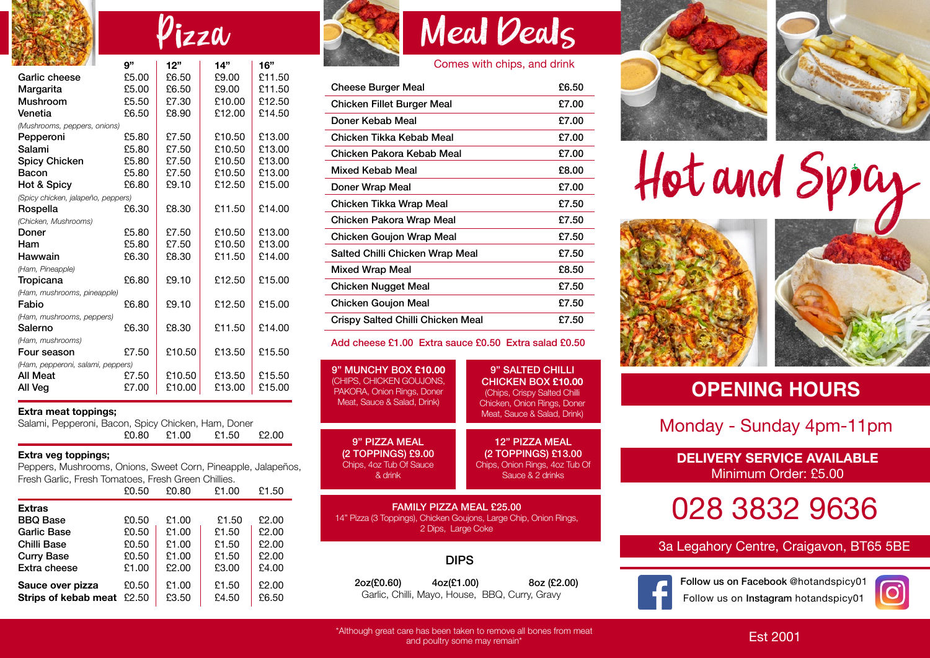

|                                    | <b>g</b> " | 12"    | 14"    | 16"    |
|------------------------------------|------------|--------|--------|--------|
| Garlic cheese                      | £5.00      | £6.50  | £9.00  | £11.50 |
| Margarita                          | £5.00      | £6.50  | £9.00  | £11.50 |
| Mushroom                           | £5.50      | £7.30  | £10.00 | £12.50 |
| Venetia                            | £6.50      | £8.90  | £12.00 | £14.50 |
| (Mushrooms, peppers, onions)       |            |        |        |        |
| Pepperoni                          | £5.80      | £7.50  | £10.50 | £13.00 |
| Salami                             | £5.80      | £7.50  | £10.50 | £13.00 |
| Spicy Chicken                      | £5.80      | £7.50  | £10.50 | £13.00 |
| Bacon                              | £5.80      | £7.50  | £10.50 | £13.00 |
| Hot & Spicy                        | £6.80      | £9.10  | £12.50 | £15.00 |
| (Spicy chicken, jalapeño, peppers) |            |        |        |        |
| Rospella                           | £6.30      | £8.30  | £11.50 | £14.00 |
| (Chicken, Mushrooms)               |            |        |        |        |
| Doner                              | £5.80      | £7.50  | £10.50 | £13.00 |
| Ham                                | £5.80      | £7.50  | £10.50 | £13.00 |
| Hawwain                            | £6.30      | £8.30  | £11.50 | £14.00 |
| (Ham, Pineapple)                   |            |        |        |        |
| Tropicana                          | £6.80      | £9.10  | £12.50 | £15.00 |
| (Ham, mushrooms, pineapple)        |            |        |        |        |
| Fabio                              | £6.80      | £9.10  | £12.50 | £15.00 |
| (Ham, mushrooms, peppers)          |            |        |        |        |
| Salerno                            | £6.30      | £8.30  | £11.50 | £14.00 |
| (Ham, mushrooms)                   |            |        |        |        |
| Four season                        | £7.50      | £10.50 | £13.50 | £15.50 |
| (Ham, pepperoni, salami, peppers)  |            |        |        |        |
| <b>All Meat</b>                    | £7.50      | £10.50 | £13.50 | £15.50 |
| All Veg                            | £7.00      | £10.00 | £13.00 | £15.00 |

### **Extra meat toppings;**

Salami, Pepperoni, Bacon, Spicy Chicken, Ham, Doner £0.80 £1.00 £1.50 £2.00

### **Extra veg toppings;**

Peppers, Mushrooms, Onions, Sweet Corn, Pineapple, Jalapeños, Fresh Garlic, Fresh Tomatoes, Fresh Green Chillies.

|                      | £0.50 | £0.80 | £1.00 | £1.50 |
|----------------------|-------|-------|-------|-------|
| <b>Extras</b>        |       |       |       |       |
| <b>BBQ Base</b>      | £0.50 | £1.00 | £1.50 | £2.00 |
| <b>Garlic Base</b>   | £0.50 | £1.00 | £1.50 | £2.00 |
| Chilli Base          | £0.50 | £1.00 | £1.50 | £2.00 |
| <b>Curry Base</b>    | £0.50 | £1.00 | £1.50 | £2.00 |
| Extra cheese         | £1.00 | £2.00 | £3.00 | £4.00 |
| Sauce over pizza     | £0.50 | £1.00 | £1.50 | £2.00 |
| Strips of kebab meat | £2.50 | £3.50 | £4.50 | £6.50 |



## Pizza Meal Deals

### Comes with chips, and drink

| <b>Cheese Burger Meal</b>         | £6.50 |
|-----------------------------------|-------|
| Chicken Fillet Burger Meal        | £7.00 |
| Doner Kebab Meal                  | £7.00 |
| Chicken Tikka Kebab Meal          | £7.00 |
| Chicken Pakora Kebab Meal         | £7.00 |
| Mixed Kebab Meal                  | £8.00 |
| Doner Wrap Meal                   | £7.00 |
| Chicken Tikka Wrap Meal           | £7.50 |
| Chicken Pakora Wrap Meal          | £7.50 |
| Chicken Goujon Wrap Meal          | £7.50 |
| Salted Chilli Chicken Wrap Meal   | £7.50 |
| Mixed Wrap Meal                   | £8.50 |
| Chicken Nugget Meal               | £7.50 |
| Chicken Goujon Meal               | £7.50 |
| Crispy Salted Chilli Chicken Meal | £7.50 |

### Add cheese £1.00 Extra sauce £0.50 Extra salad £0.50

9" MUNCHY BOX **£10.00** (CHIPS, CHICKEN GOUJONS, PAKORA, Onion Rings, Doner Meat, Sauce & Salad, Drink)

9" PIZZA MEAL (2 TOPPINGS) £9.00 Chips, 4oz Tub Of Sauce & drink

9" SALTED CHILLI CHICKEN BOX **£10.00** (Chips, Crispy Salted Chilli Chicken, Onion Rings, Doner Meat, Sauce & Salad, Drink)

12" PIZZA MEAL (2 TOPPINGS) £13.00 Chips, Onion Rings, 4oz Tub Of Sauce & 2 drinks

FAMILY PIZZA MEAL £25.00 14" Pizza (3 Toppings), Chicken Goujons, Large Chip, Onion Rings, 2 Dips, Large Coke

### DIPS

2oz(£0.60) 4oz(£1.00) 8oz (£2.00) Garlic, Chilli, Mayo, House, BBQ, Curry, Gravy





# Hot and Spray



## **OPENING HOURS**

## Monday - Sunday 4pm-11pm

**DELIVERY SERVICE AVAILABLE** Minimum Order: £5.00

## 028 3832 9636

3a Legahory Centre, Craigavon, BT65 5BE



Follow us on Facebook @hotandspicy01 Follow us on Instagram hotandspicy01



Est 2001